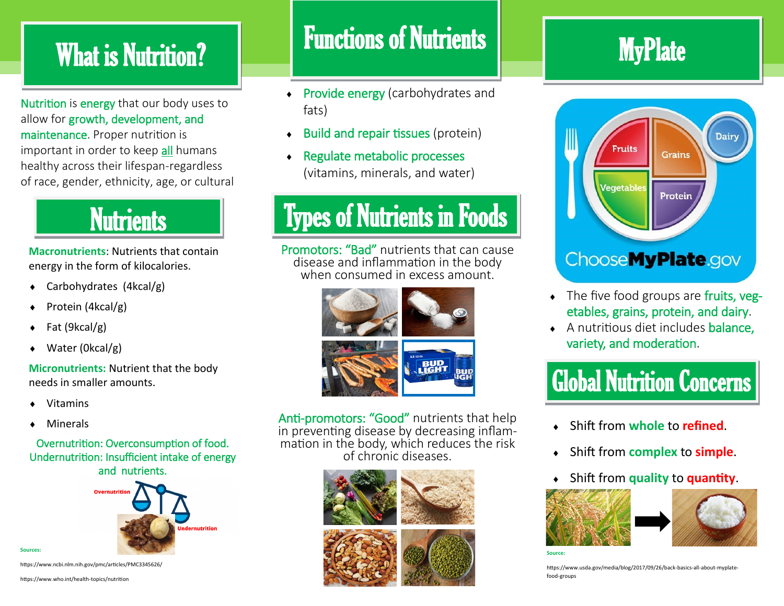## What is Nutrition?

Nutrition is energy that our body uses to allow for growth, development, and maintenance. Proper nutrition is important in order to keep all humans healthy across their lifespan-regardless of race, gender, ethnicity, age, or cultural

## **Nutrients**

**Macronutrients**: Nutrients that contain energy in the form of kilocalories.

- Carbohydrates (4kcal/g)
- Protein (4kcal/g)
- Fat (9kcal/g)
- Water (0kcal/g)

**Micronutrients:** Nutrient that the body needs in smaller amounts.

- Vitamins
- Minerals

### Overnutrition: Overconsumption of food. Undernutrition: Insufficient intake of energy and nutrients.



**Sources:** 

https://www.ncbi.nlm.nih.gov/pmc/articles/PMC3345626/

https://www.who.int/health-topics/nutrition

## Functions of Nutrients

- Provide energy (carbohydrates and fats)
- $\bullet$  Build and repair tissues (protein)
- Regulate metabolic processes (vitamins, minerals, and water)

## Types of Nutrients in Foods

Promotors: "Bad" nutrients that can cause disease and inflammation in the body when consumed in excess amount.



Anti-promotors: "Good" nutrients that help in preventing disease by decreasing inflammation in the body, which reduces the risk of chronic diseases.



## **MyPlate**



- The five food groups are fruits, vegetables, grains, protein, and dairy.
- A nutritious diet includes balance, variety, and moderation.

## Global Nutrition Concerns

- Shift from **whole** to **refined**.
- Shift from **complex** to **simple**.
- Shift from **quality** to **quantity**.





**Source:**

https://www.usda.gov/media/blog/2017/09/26/back-basics-all-about-myplatefood-groups